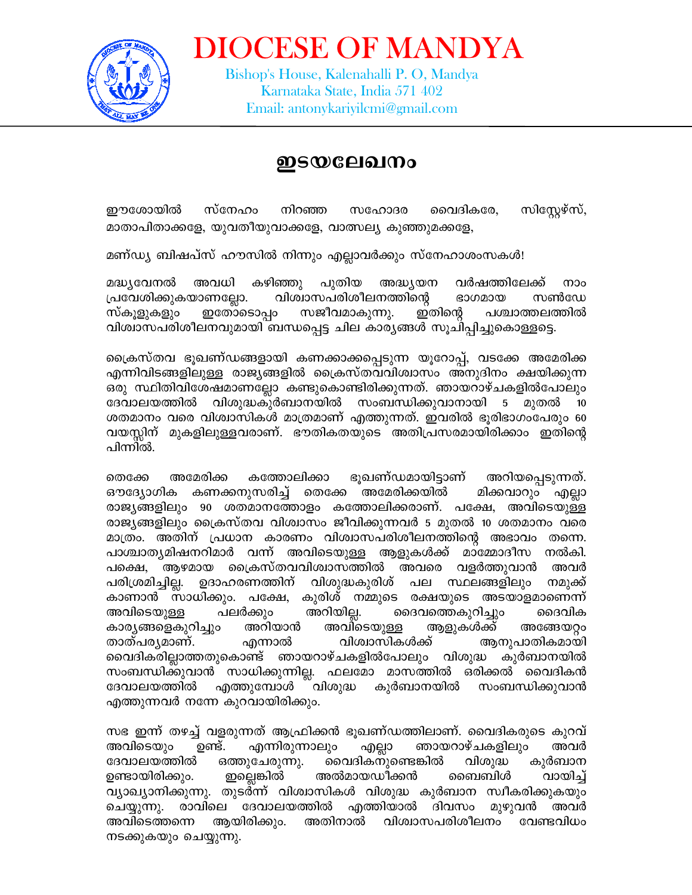

**DIOCESE OF MANDYA** Bishop's House, Kalenahalli P. O, Mandya Karnataka State, India 571 402 Email: antonykariyilcmi@gmail.com

## ഇടയലേഖനം

ഈശോയിൽ സ്നേഹം സിസ്റ്റേഴ്സ്, നിറഞ്ഞ സഹോദര വൈദികരേ, മാതാപിതാക്കളേ, യുവതീയുവാക്കളേ, വാത്സല്യ കുഞ്ഞുമക്കളേ,

മണ്ഡ്യ ബിഷപ്സ് ഹൗസിൽ നിന്നും എല്ലാവർക്കും സ്നേഹാശംസകൾ!

മദ്ധ്യവേനൽ അവധി കഴിഞ്ഞു പുതിയ അദ്ധ്യയന വർഷത്തിലേക്ക് നാം പ്രവേശിക്കുകയാണല്ലോ. വിശ്വാസപരിശീലനത്തിന്റെ ഭാഗമായ സൺഡേ സ്കൂളുകളും ഇതോടൊപ്പം സജീവമാകുന്നു. ഇതിന്റെ പശ്ചാത്തലത്തിൽ വിശ്വാസപരിശീലനവുമായി ബന്ധപ്പെട്ട ചില കാര്യങ്ങൾ സൂചിപ്പിച്ചുകൊള്ളട്ടെ.

ക്രൈസ്തവ ഭൂഖണ്ഡങ്ങളായി കണക്കാക്കപ്പെടുന്ന യൂറോപ്പ്, വടക്കേ അമേരിക്ക എന്നിവിടങ്ങളിലുള്ള രാജ്യങ്ങളിൽ ക്രൈസ്തവവിശ്വാസം അനുദിനം ക്ഷയിക്കുന്ന ഒരു സ്ഥിതിവിശേഷമാണല്ലോ കണ്ടുകൊണ്ടിരിക്കുന്നത്. ഞായറാഴ്ചകളിൽപോലും ദേവാലയത്തിൽ വിശുദ്ധകുർബാനയിൽ സംബന്ധിക്കുവാനായി 5 മുതൽ 10 ശതമാനം വരെ വിശ്വാസികൾ മാത്രമാണ് എത്തുന്നത്. ഇവരിൽ ഭൂരിഭാഗംപേരും 60 വയസ്സിന് മുകളിലുള്ളവരാണ്. ഭൗതികതയുടെ അതിപ്രസരമായിരിക്കാം ഇതിന്റെ പിന്നിൽ.

തെക്കേ അമേരിക്ക കത്തോലിക്കാ ഭൂഖണ്ഡമായിട്ടാണ് അറിയപ്പെടുന്നത്. ഔദ്യോഗിക കണക്കനുസരിച്ച് തെക്കേ അമേരിക്കയിൽ മിക്കവാറും എല്ലാ രാജ്യങ്ങളിലും 90 ശതമാനത്തോളം കത്തോലിക്കരാണ്. പക്ഷേ, അവിടെയുള്ള രാജ്യങ്ങളിലും ക്രൈസ്തവ വിശ്വാസം ജീവിക്കുന്നവർ 5 മുതൽ 10 ശതമാനം വരെ മാത്രം. അതിന് പ്രധാന കാരണം വിശ്വാസപരിശീലനത്തിന്റെ അഭാവം തന്നെ. പാശ്ചാതൃമിഷനറിമാർ വന്ന് അവിടെയുള്ള ആളുകൾക്ക് മാമ്മോദീസ നൽകി. പക്ഷെ, ആഴമായ ക്രൈസ്തവവിശ്വാസത്തിൽ അവരെ വളർത്തുവാൻ അവർ പരിശ്രമിച്ചില്ല. ഉദാഹരണത്തിന് വിശുദ്ധകുരിശ് പല സ്ഥലങ്ങളിലും നമുക്ക് കാണാൻ സാധിക്കും. പക്ഷേ, കുരിശ് നമ്മുടെ രക്ഷയുടെ അടയാളമാണെന്ന് പലർക്കും ദൈവത്തെകുറിച്ചും അറിയില്ല. അവിടെയുള്ള ദൈവിക കാര്യങ്ങളെകുറിച്ചും അറിയാൻ അവിടെയുള്ള ആളുകൾക്ക് അങ്ങേയറ്റം താത്പര്യമാണ്. എന്നാൽ വിശ്വാസികൾക്ക് ആനുപാതികമായി വൈദികരില്ലാത്തതുകൊണ്ട് ഞായറാഴ്ചകളിൽപോലും വിശുദ്ധ കുർബാനയിൽ സംബന്ധിക്കുവാൻ സാധിക്കുന്നില്ല. ഫലമോ മാസത്തിൽ ഒരിക്കൽ വൈദികൻ ദേവാലയത്തിൽ എത്തുമ്പോൾ വിശുദ്ധ കുർബാനയിൽ സംബന്ധിക്കുവാൻ എത്തുന്നവർ നന്നേ കുറവായിരിക്കും.

സഭ ഇന്ന് തഴച്ച് വളരുന്നത് ആഫ്രിക്കൻ ഭൂഖണ്ഡത്തിലാണ്. വൈദികരുടെ കുറവ് എന്നിരുന്നാലും അവിടെയും ഉണ്ട്. ഞായറാഴ്ചകളിലും അവർ എല്ലാ ദേവാലയത്തിൽ വൈദികനുണ്ടെങ്കിൽ ഒത്തുചേരുന്നു. വിശുദ്ധ കുർബാന അൽമായഡീക്കൻ ഉണ്ടായിരിക്കും. ഇല്ലെങ്കിൽ ബൈബിൾ വായിച്ച് വ്യാഖ്യാനിക്കുന്നു. തുടർന്ന് വിശ്വാസികൾ വിശുദ്ധ കുർബാന സ്വീകരിക്കുകയും എത്തിയാൽ ദിവസം ചെയ്യുന്നു. രാവിലെ ദേവാലയത്തിൽ മുഴുവൻ അവർ അവിടെത്തന്നെ ആയിരിക്കും. അതിനാൽ വിശ്വാസപരിശീലനം വേണ്ടവിധം നടക്കുകയും ചെയ്യുന്നു.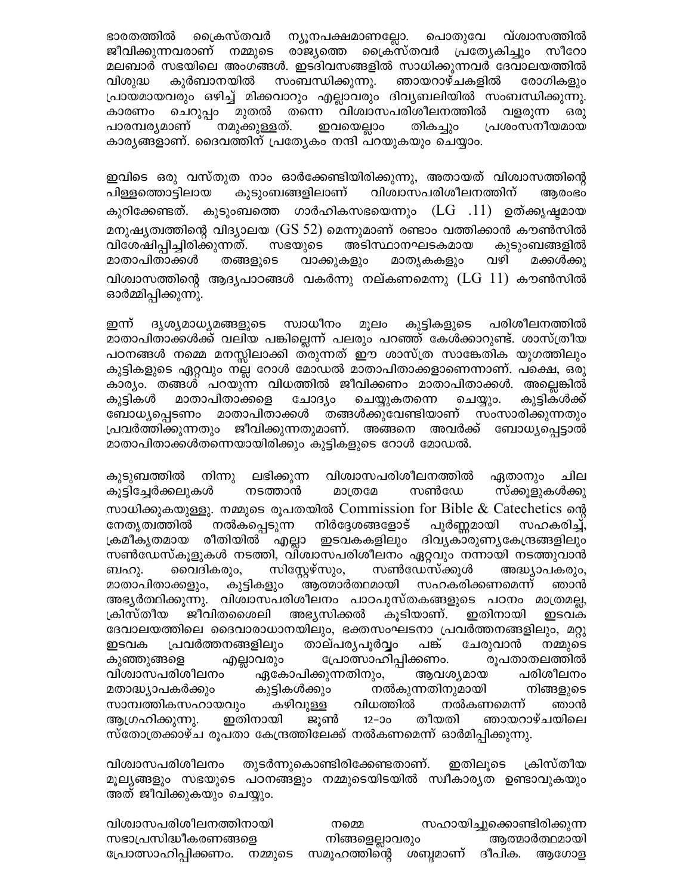ഭാരതത്തിൽ ക്രൈസ്തവർ ന്യൂനപക്ഷമാണല്ലോ. വ്ശ്വാസത്തിൽ പൊതുവേ ജീവിക്കുന്നവരാണ് നമ്മുടെ രാജ്യത്തെ ക്രൈസ്തവർ പ്രത്യേകിച്ചും സീറോ മലബാർ സഭയിലെ അംഗങ്ങൾ. ഇടദിവസങ്ങളിൽ സാധിക്കുന്നവർ ദേവാലയത്തിൽ സംബന്ധിക്കുന്നു. കുർബാനയിൽ ഞായറാഴ്ചകളിൽ വിശുദ്ധ രോഗികളും പ്രായമായവരും ഒഴിച്ച് മിക്കവാറും എല്ലാവരും ദിവൃബലിയിൽ സംബന്ധിക്കുന്നു. തന്നെ വിശ്വാസപരിശീലനത്തിൽ ചെറുപ്പം മുതൽ കാരണം വളരുന്ന ഒരു പാരമ്പര്യമാണ് നമുക്കുള്ളത്. ഇവയെല്ലാം പ്രശംസനീയമായ തികച്ചും കാര്യങ്ങളാണ്. ദൈവത്തിന് പ്രത്യേകം നന്ദി പറയുകയും ചെയ്യാം.

ഇവിടെ ഒരു വസ്തുത നാം ഓർക്കേണ്ടിയിരിക്കുന്നു, അതായത് വിശ്വാസത്തിന്റെ വിശ്വാസപരിശീലനത്തിന് കുടുംബങ്ങളിലാണ് പിള്ളത്തൊട്ടിലായ ആരംഭം കുറിക്കേണ്ടത്. കുടുംബത്തെ ഗാർഹികസഭയെന്നും (LG .11) ഉത്ക്കൃഷ്ടമായ മനുഷ്യത്വത്തിന്റെ വിദ്യാലയ ( $GS$  52) മെന്നുമാണ് രണ്ടാം വത്തിക്കാൻ കൗൺസിൽ വിശേഷിപ്പിച്ചിരിക്കുന്നത്. സഭയുടെ അടിസ്ഥാനഘടകമായ കുടുംബങ്ങളിൽ മാതാപിതാക്കൾ തങ്ങളുടെ വാക്കുകളും വഴി മാതൃകകളും മക്കൾക്കു വിശ്വാസത്തിന്റെ ആദൃപാഠങ്ങൾ വകർന്നു നല്കണമെന്നു ( $\rm LG$   $11$ ) കൗൺസിൽ ഓർമ്മിപ്പിക്കുന്നു.

ഇന്ന് ദൃശ്യമാധ്യമങ്ങളുടെ സ്വാധീനം മൂലം കുട്ടികളുടെ പരിശീലനത്തിൽ മാതാപിതാക്കൾക്ക് വലിയ പങ്കില്ലെന്ന് പലരും പറഞ്ഞ് കേൾക്കാറുണ്ട്. ശാസ്ത്രീയ പഠനങ്ങൾ നമ്മെ മനസ്സിലാക്കി ത്രുന്നത് ഈ ശാസ്ത്ര സാങ്കേതിക യുഗത്തിലും കുട്ടികളുടെ ഏറ്റവും നല്ല റോൾ മോഡൽ മാതാപിതാക്കളാണെന്നാണ്. പക്ഷെ, ഒരു കാര്യം. തങ്ങൾ പറയുന്ന വിധത്തിൽ ജീവിക്കണം മാതാപിതാക്കൾ. അല്ലെങ്കിൽ കുടികൾ മാതാപിതാക്കളെ ചോദ്യം ചെയ്യുകതന്നെ ചെയ്യും. കുടികൾക്ക് ബോധ്യപ്പെടണം മാതാപിതാക്കൾ തങ്ങൾക്കുവേണ്ടിയാണ് സംസാരിക്കുന്നതും പ്രവർത്തിക്കുന്നതും ജീവിക്കുന്നതുമാണ്. അങ്ങനെ അവർക്ക് ബോധ്യപ്പെട്ടാൽ മാതാപിതാക്കൾതന്നെയായിരിക്കും കുട്ടികളുടെ റോൾ മോഡൽ.

വിശ്വാസപരിശീലനത്തിൽ ലഭിക്കുന്ന കുടുബത്തിൽ നിന്നു ഏതാനും ചില കൂട്ടിച്ചേർക്കലുകൾ നടത്താൻ മാത്രമേ സൺഡേ സ്ക്കുളുകൾക്കു സാധിക്കുകയുള്ളു. നമ്മുടെ രൂപതയിൽ Commission for Bible & Catechetics ന്റെ നേതൃത്വത്തിൽ നൽകപ്പെടുന്ന നിർദ്ദേശങ്ങളോട് പൂർണ്ണമായി സഹകരിച്ച്, ക്രമീകൃതമായ രീതിയിൽ എല്ലാ ഇടവകകളിലും ദിവൃകാരുണ്യകേന്ദ്രങ്ങളിലും സൺഡേസ്കൂളുകൾ നടത്തി, വിശ്വാസപരിശീലനം ഏറ്റവും നന്നായി നടത്തുവാൻ സിസ്റ്റേഴ്സും, സൺഡേസ്ക്കൂൾ വൈദികരും, അദ്ധ്യാപകരും, ബഹു. സഹകരിക്കണമെന്ന് മാതാപിതാക്കളും, കുട്ടികളും ആത്മാർത്ഥമായി ഞാൻ അഭ്യർത്ഥിക്കുന്നു. വിശ്വാസപരിശീലനം പാഠപുസ്തകങ്ങളുടെ പഠനം മാത്രമല്ല, ക്രിസ്തീയ ജീവിതശൈലി അഭ്യസിക്കൽ കൂടിയാണ്. ഇതിനായി ഇടവക ദേവാലയത്തിലെ ദൈവാരാധാനയിലും, ഭക്തസംഘടനാ പ്രവർത്തനങ്ങളിലും, മറ്റു ഇടവക പ്രവർത്തനങ്ങളിലും താല്പര്യപൂർവ്വം പങ്ക് ചേരുവാൻ നമ്മുടെ രൂപതാതലത്തിൽ പ്രോത്സാഹിപ്പിക്കണം. കുഞ്ഞുങ്ങളെ എല്ലാവരും വിശ്വാസപരിശീലനം ഏകോപിക്കുന്നതിനും, ആവശ്യമായ പരിശീലനം കുട്ടികൾക്കും നൽകുന്നതിനുമായി മതാദ്ധ്യാപകർക്കും നിങ്ങളുടെ സാമ്പത്തികസഹായവും വിധത്തിൽ കഴിവുള്ള നൽകണമെന്ന് ഞാൻ ഇതിനായി ആഗ്രഹിക്കുന്നു. ജുൺ  $12 - 50$ തീയതി ഞായറാഴ്ചയിലെ സ്തോത്രക്കാഴ്ച രൂപതാ കേന്ദ്രത്തിലേക്ക് നൽകണമെന്ന് ഓർമിപ്പിക്കുന്നു.

ക്രിസ്തീയ തുടർന്നുകൊണ്ടിരിക്കേണ്ടതാണ്. ഇതിലൂടെ വിശ്വാസപരിശീലനം മൂല്യങ്ങളും സഭയുടെ പഠനങ്ങളും നമ്മുടെയിടയിൽ സ്വീകാര്യത ഉണ്ടാവുകയും അത് ജീവിക്കുകയും ചെയ്യും.

വിശ്വാസപരിശീലനത്തിനായി സഹായിച്ചുക്കൊണ്ടിരിക്കുന്ന നമ്മെ സഭാപ്രസിദ്ധീകരണങ്ങളെ നിങ്ങളെല്ലാവരും ആത്മാർത്ഥമായി പ്രോത്സാഹിപ്പിക്കണം. നമ്മുടെ സമൂഹത്തിന്റെ ശബ്ദമാണ് ദീപിക. അഗോള